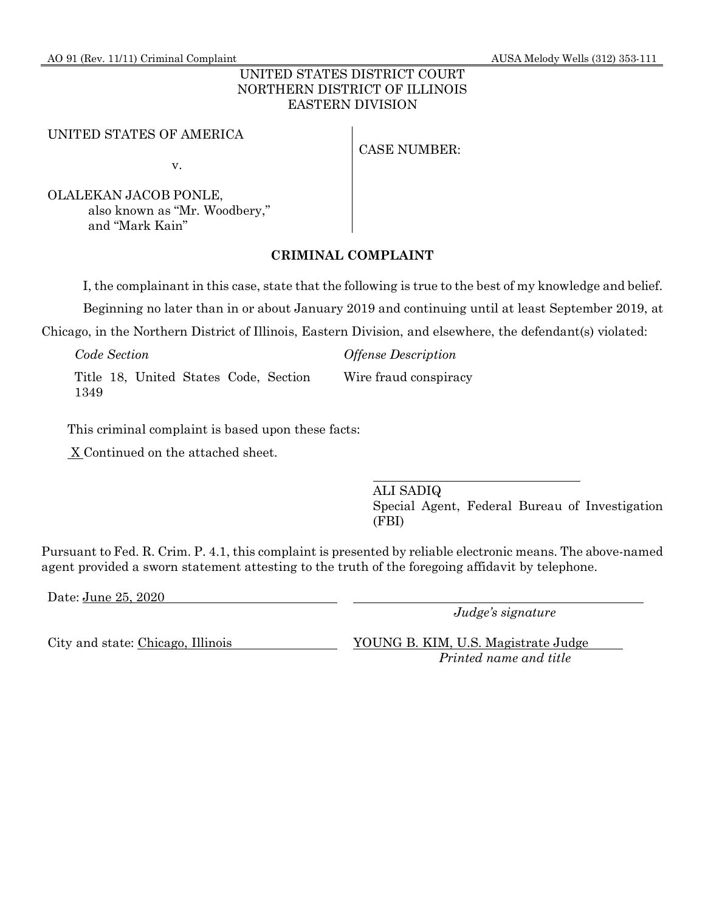AO 91 (Rev. 11/11) Criminal Complaint AUSA Melody Wells (312) 353-111

#### UNITED STATES DISTRICT COURT NORTHERN DISTRICT OF ILLINOIS EASTERN DIVISION

#### UNITED STATES OF AMERICA

v.

OLALEKAN JACOB PONLE, also known as "Mr. Woodbery," and "Mark Kain"

## **CRIMINAL COMPLAINT**

I, the complainant in this case, state that the following is true to the best of my knowledge and belief.

Beginning no later than in or about January 2019 and continuing until at least September 2019, at

Chicago, in the Northern District of Illinois, Eastern Division, and elsewhere, the defendant(s) violated:

| Code Section |                                       |  | <i><b>Offense Description</b></i> |  |                       |
|--------------|---------------------------------------|--|-----------------------------------|--|-----------------------|
| 1349         | Title 18, United States Code, Section |  |                                   |  | Wire fraud conspiracy |

This criminal complaint is based upon these facts:

X Continued on the attached sheet.

ALI SADIQ Special Agent, Federal Bureau of Investigation (FBI)

Pursuant to Fed. R. Crim. P. 4.1, this complaint is presented by reliable electronic means. The above-named agent provided a sworn statement attesting to the truth of the foregoing affidavit by telephone.

Date: June 25, 2020

*Judge's signature*

City and state: Chicago, Illinois YOUNG B. KIM, U.S. Magistrate Judge *Printed name and title*

CASE NUMBER: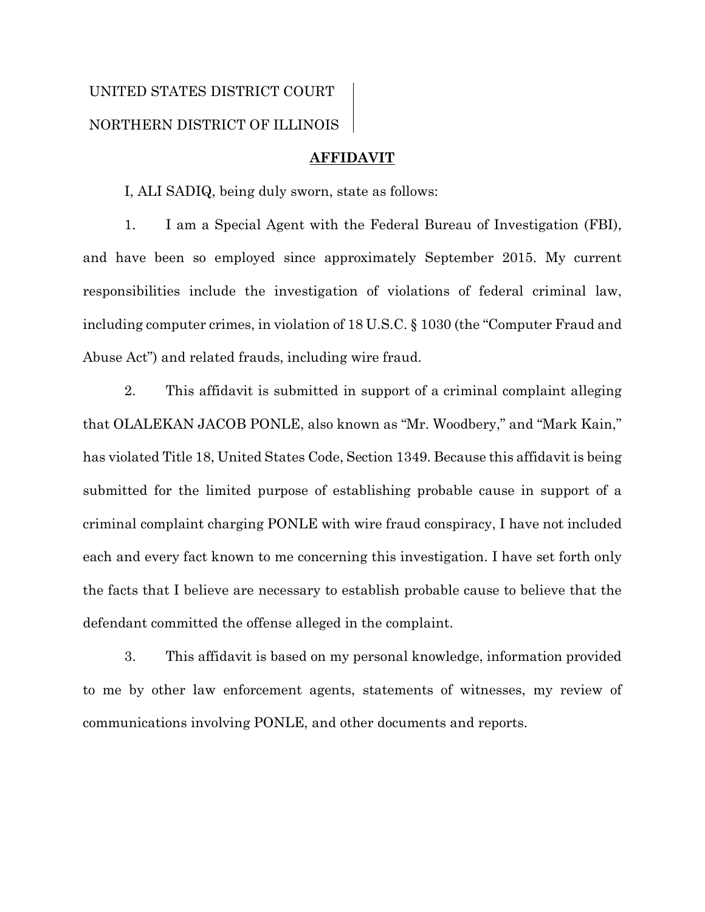# UNITED STATES DISTRICT COURT NORTHERN DISTRICT OF ILLINOIS

#### **AFFIDAVIT**

I, ALI SADIQ, being duly sworn, state as follows:

1. I am a Special Agent with the Federal Bureau of Investigation (FBI), and have been so employed since approximately September 2015. My current responsibilities include the investigation of violations of federal criminal law, including computer crimes, in violation of 18 U.S.C. § 1030 (the "Computer Fraud and Abuse Act") and related frauds, including wire fraud.

2. This affidavit is submitted in support of a criminal complaint alleging that OLALEKAN JACOB PONLE, also known as "Mr. Woodbery," and "Mark Kain," has violated Title 18, United States Code, Section 1349. Because this affidavit is being submitted for the limited purpose of establishing probable cause in support of a criminal complaint charging PONLE with wire fraud conspiracy, I have not included each and every fact known to me concerning this investigation. I have set forth only the facts that I believe are necessary to establish probable cause to believe that the defendant committed the offense alleged in the complaint.

3. This affidavit is based on my personal knowledge, information provided to me by other law enforcement agents, statements of witnesses, my review of communications involving PONLE, and other documents and reports.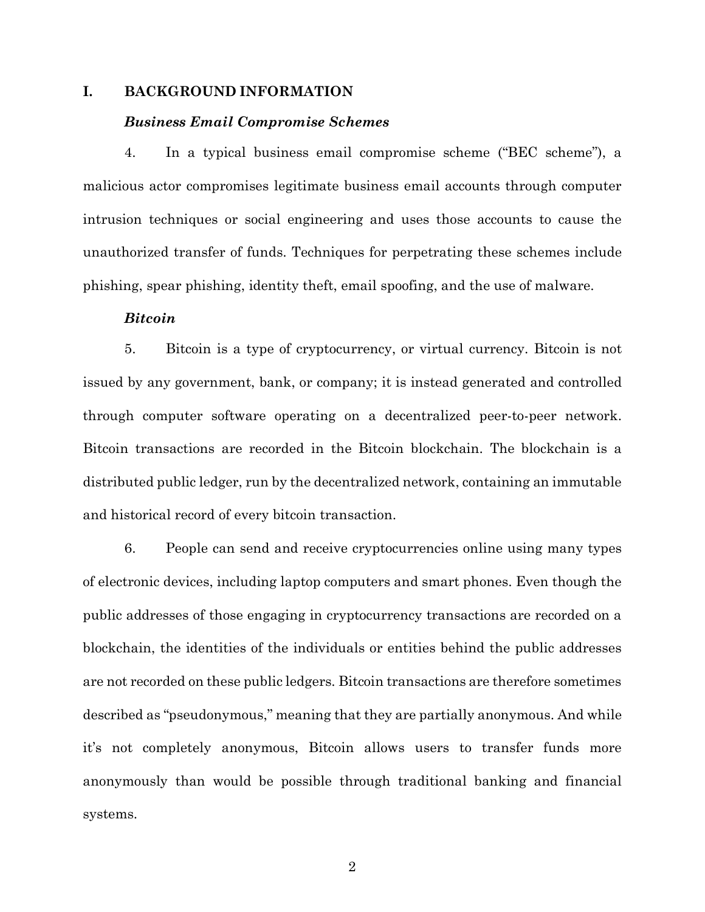#### **I. BACKGROUND INFORMATION**

#### *Business Email Compromise Schemes*

4. In a typical business email compromise scheme ("BEC scheme"), a malicious actor compromises legitimate business email accounts through computer intrusion techniques or social engineering and uses those accounts to cause the unauthorized transfer of funds. Techniques for perpetrating these schemes include phishing, spear phishing, identity theft, email spoofing, and the use of malware.

#### *Bitcoin*

5. Bitcoin is a type of cryptocurrency, or virtual currency. Bitcoin is not issued by any government, bank, or company; it is instead generated and controlled through computer software operating on a decentralized peer-to-peer network. Bitcoin transactions are recorded in the Bitcoin blockchain. The blockchain is a distributed public ledger, run by the decentralized network, containing an immutable and historical record of every bitcoin transaction.

6. People can send and receive cryptocurrencies online using many types of electronic devices, including laptop computers and smart phones. Even though the public addresses of those engaging in cryptocurrency transactions are recorded on a blockchain, the identities of the individuals or entities behind the public addresses are not recorded on these public ledgers. Bitcoin transactions are therefore sometimes described as "pseudonymous," meaning that they are partially anonymous. And while it's not completely anonymous, Bitcoin allows users to transfer funds more anonymously than would be possible through traditional banking and financial systems.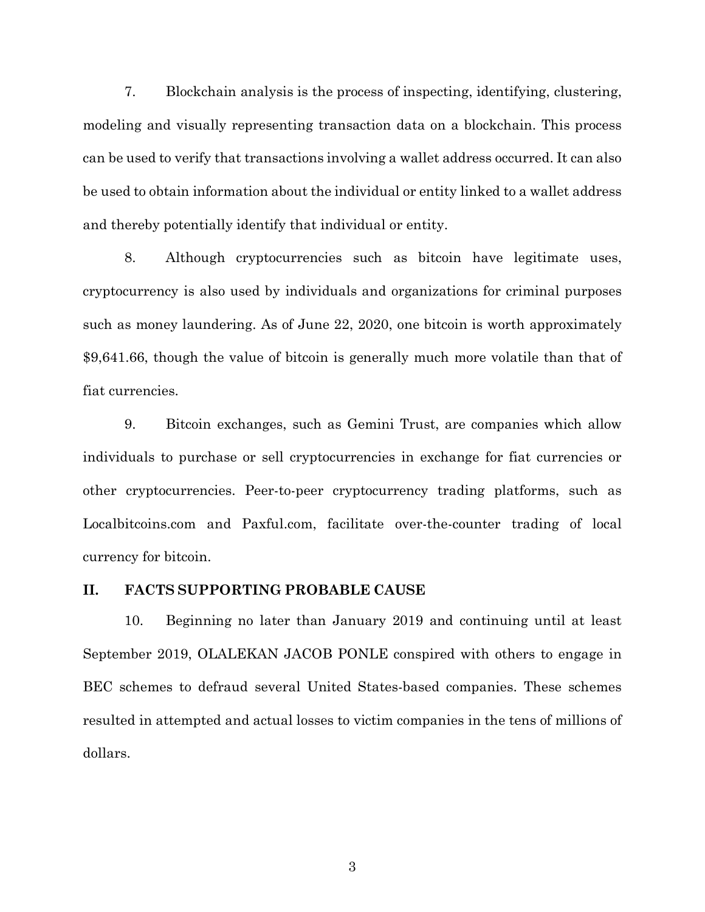7. Blockchain analysis is the process of inspecting, identifying, clustering, modeling and visually representing transaction data on a blockchain. This process can be used to verify that transactions involving a wallet address occurred. It can also be used to obtain information about the individual or entity linked to a wallet address and thereby potentially identify that individual or entity.

8. Although cryptocurrencies such as bitcoin have legitimate uses, cryptocurrency is also used by individuals and organizations for criminal purposes such as money laundering. As of June 22, 2020, one bitcoin is worth approximately \$9,641.66, though the value of bitcoin is generally much more volatile than that of fiat currencies.

9. Bitcoin exchanges, such as Gemini Trust, are companies which allow individuals to purchase or sell cryptocurrencies in exchange for fiat currencies or other cryptocurrencies. Peer-to-peer cryptocurrency trading platforms, such as Localbitcoins.com and Paxful.com, facilitate over-the-counter trading of local currency for bitcoin.

#### **II. FACTS SUPPORTING PROBABLE CAUSE**

10. Beginning no later than January 2019 and continuing until at least September 2019, OLALEKAN JACOB PONLE conspired with others to engage in BEC schemes to defraud several United States-based companies. These schemes resulted in attempted and actual losses to victim companies in the tens of millions of dollars.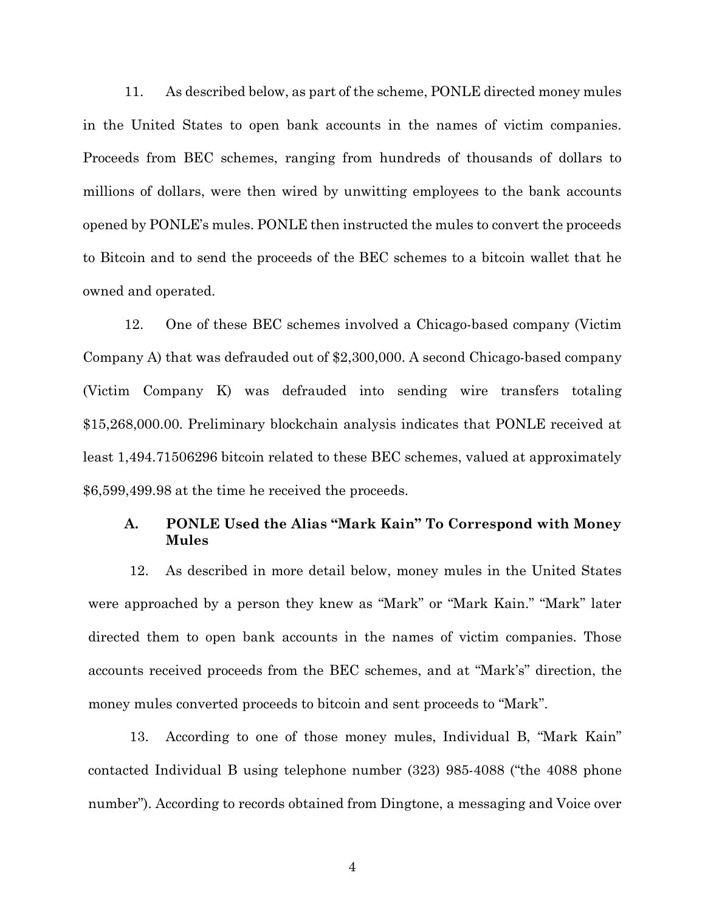11. As described below, as part of the scheme, PONLE directed money mules in the United States to open bank accounts in the names of victim companies. Proceeds from BEC schemes, ranging from hundreds of thousands of dollars to millions of dollars, were then wired by unwitting employees to the bank accounts opened by PONLE's mules. PONLE then instructed the mules to convert the proceeds to Bitcoin and to send the proceeds of the BEC schemes to a bitcoin wallet that he owned and operated.

12. One of these BEC schemes involved a Chicago-based company (Victim Company A) that was defrauded out of \$2,300,000. A second Chicago-based company (Victim Company K) was defrauded into sending wire transfers totaling \$15,268,000.00. Preliminary blockchain analysis indicates that PONLE received at least 1,494.71506296 bitcoin related to these BEC schemes, valued at approximately \$6,599,499.98 at the time he received the proceeds.

#### **A. PONLE Used the Alias "Mark Kain" To Correspond with Money Mules**

12. As described in more detail below, money mules in the United States were approached by a person they knew as "Mark" or "Mark Kain." "Mark" later directed them to open bank accounts in the names of victim companies. Those accounts received proceeds from the BEC schemes, and at "Mark's" direction, the money mules converted proceeds to bitcoin and sent proceeds to "Mark".

13. According to one of those money mules, Individual B, "Mark Kain" contacted Individual B using telephone number (323) 985-4088 ("the 4088 phone number"). According to records obtained from Dingtone, a messaging and Voice over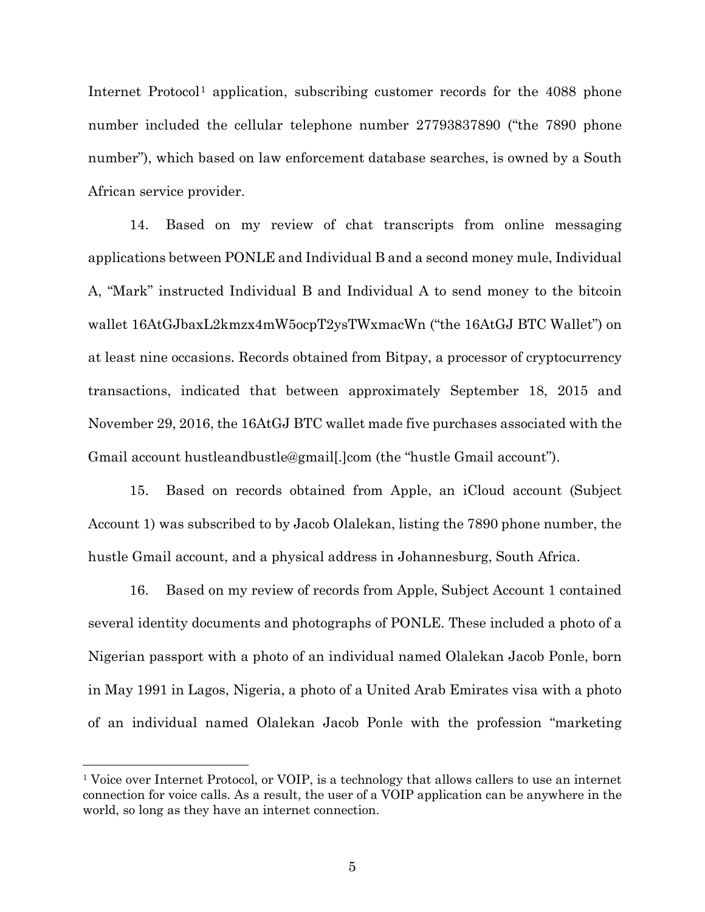Internet Protocol[1](#page-5-0) application, subscribing customer records for the 4088 phone number included the cellular telephone number 27793837890 ("the 7890 phone number"), which based on law enforcement database searches, is owned by a South African service provider.

14. Based on my review of chat transcripts from online messaging applications between PONLE and Individual B and a second money mule, Individual A, "Mark" instructed Individual B and Individual A to send money to the bitcoin wallet 16AtGJbaxL2kmzx4mW5ocpT2ysTWxmacWn ("the 16AtGJ BTC Wallet") on at least nine occasions. Records obtained from Bitpay, a processor of cryptocurrency transactions, indicated that between approximately September 18, 2015 and November 29, 2016, the 16AtGJ BTC wallet made five purchases associated with the Gmail account hustleandbustle@gmail[.]com (the "hustle Gmail account").

15. Based on records obtained from Apple, an iCloud account (Subject Account 1) was subscribed to by Jacob Olalekan, listing the 7890 phone number, the hustle Gmail account, and a physical address in Johannesburg, South Africa.

16. Based on my review of records from Apple, Subject Account 1 contained several identity documents and photographs of PONLE. These included a photo of a Nigerian passport with a photo of an individual named Olalekan Jacob Ponle, born in May 1991 in Lagos, Nigeria, a photo of a United Arab Emirates visa with a photo of an individual named Olalekan Jacob Ponle with the profession "marketing

<span id="page-5-0"></span><sup>&</sup>lt;sup>1</sup> Voice over Internet Protocol, or VOIP, is a technology that allows callers to use an internet connection for voice calls. As a result, the user of a VOIP application can be anywhere in the world, so long as they have an internet connection.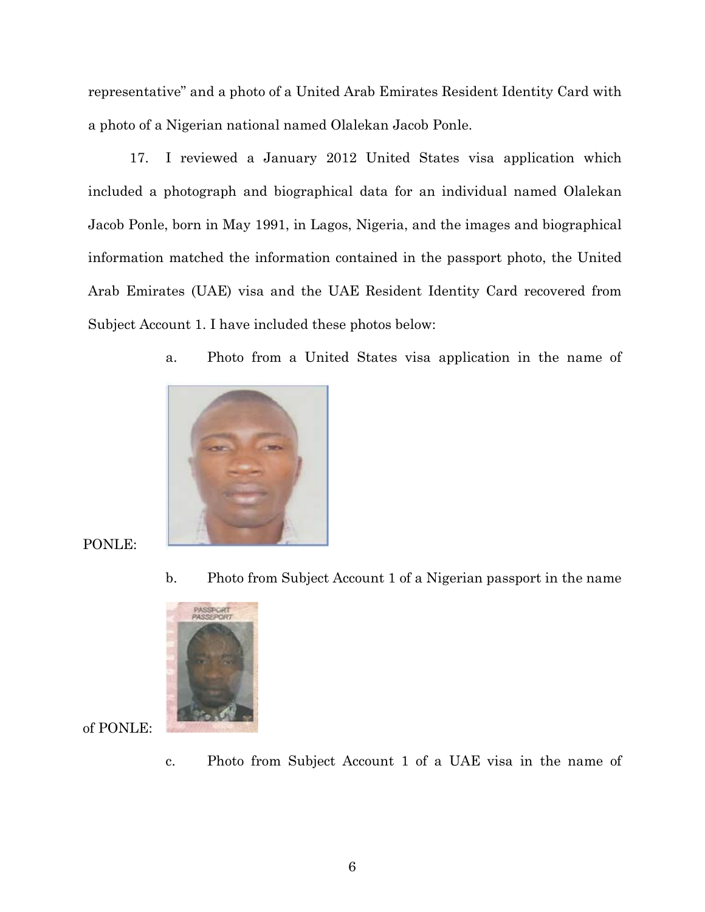representative" and a photo of a United Arab Emirates Resident Identity Card with a photo of a Nigerian national named Olalekan Jacob Ponle.

17. I reviewed a January 2012 United States visa application which included a photograph and biographical data for an individual named Olalekan Jacob Ponle, born in May 1991, in Lagos, Nigeria, and the images and biographical information matched the information contained in the passport photo, the United Arab Emirates (UAE) visa and the UAE Resident Identity Card recovered from Subject Account 1. I have included these photos below:

a. Photo from a United States visa application in the name of



# PONLE:

b. Photo from Subject Account 1 of a Nigerian passport in the name



of PONLE:

c. Photo from Subject Account 1 of a UAE visa in the name of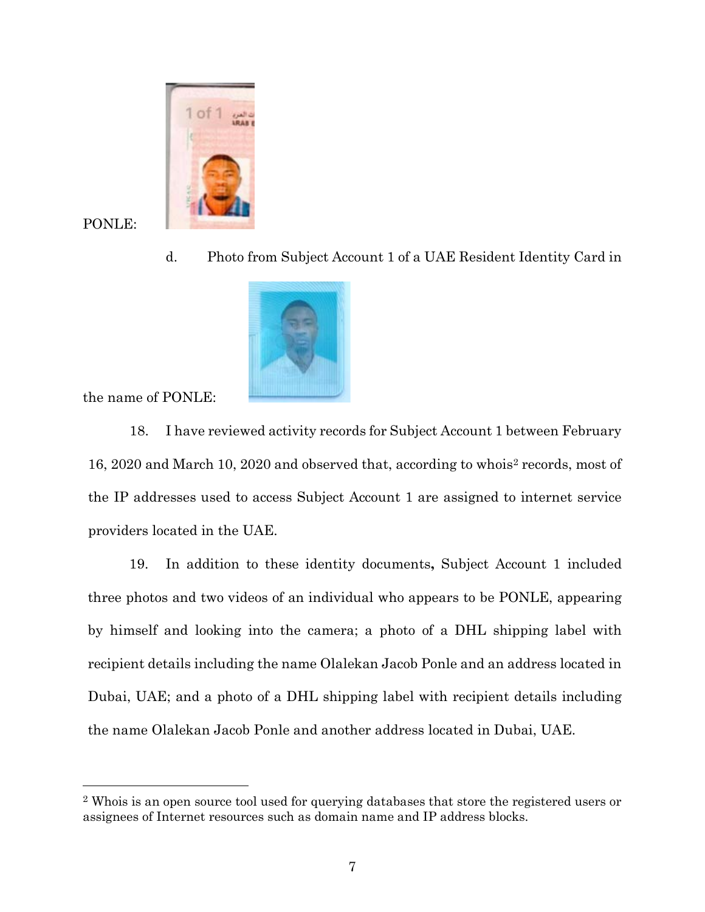

PONLE:

d. Photo from Subject Account 1 of a UAE Resident Identity Card in



the name of PONLE:

18. I have reviewed activity records for Subject Account 1 between February 16, 2020 and March 10, 2020 and observed that, according to whois[2](#page-7-0) records, most of the IP addresses used to access Subject Account 1 are assigned to internet service providers located in the UAE.

19. In addition to these identity documents**,** Subject Account 1 included three photos and two videos of an individual who appears to be PONLE, appearing by himself and looking into the camera; a photo of a DHL shipping label with recipient details including the name Olalekan Jacob Ponle and an address located in Dubai, UAE; and a photo of a DHL shipping label with recipient details including the name Olalekan Jacob Ponle and another address located in Dubai, UAE.

<span id="page-7-0"></span> <sup>2</sup> Whois is an open source tool used for querying databases that store the registered users or assignees of Internet resources such as domain name and IP address blocks.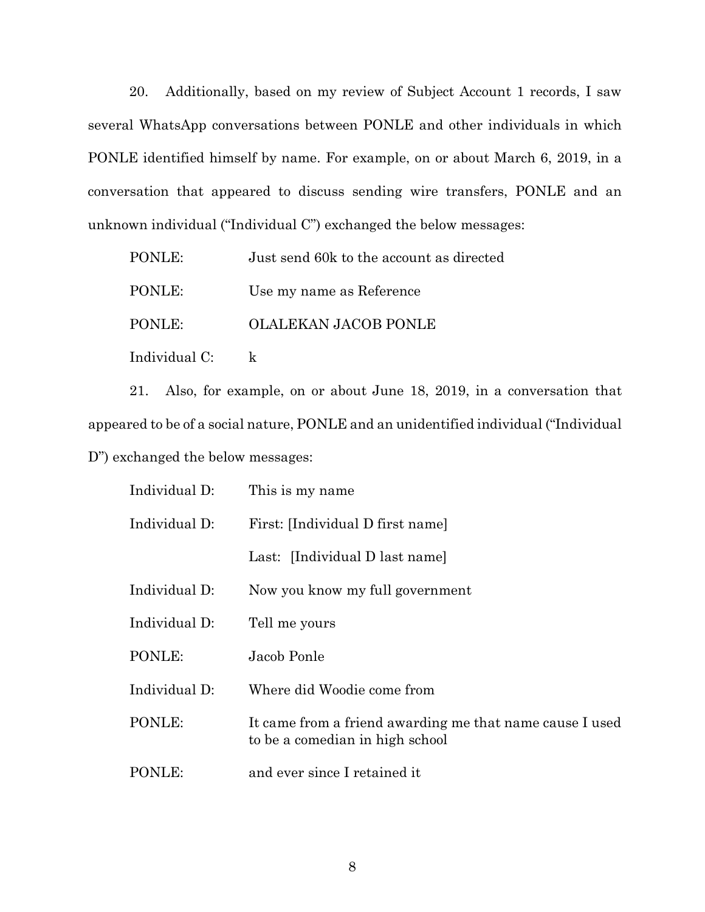20. Additionally, based on my review of Subject Account 1 records, I saw several WhatsApp conversations between PONLE and other individuals in which PONLE identified himself by name. For example, on or about March 6, 2019, in a conversation that appeared to discuss sending wire transfers, PONLE and an unknown individual ("Individual C") exchanged the below messages:

| PONLE: | Just send 60k to the account as directed |
|--------|------------------------------------------|
| PONLE: | Use my name as Reference                 |
| PONLE: | <b>OLALEKAN JACOB PONLE</b>              |
|        |                                          |

Individual C: k

21. Also, for example, on or about June 18, 2019, in a conversation that appeared to be of a social nature, PONLE and an unidentified individual ("Individual D") exchanged the below messages:

| Individual D: | This is my name                                                                             |
|---------------|---------------------------------------------------------------------------------------------|
| Individual D: | First: [Individual D first name]                                                            |
|               | Last: [Individual D last name]                                                              |
| Individual D: | Now you know my full government                                                             |
| Individual D: | Tell me yours                                                                               |
| PONLE:        | Jacob Ponle                                                                                 |
| Individual D: | Where did Woodie come from                                                                  |
| PONLE:        | It came from a friend awarding me that name cause I used<br>to be a comedian in high school |
| PONLE:        | and ever since I retained it                                                                |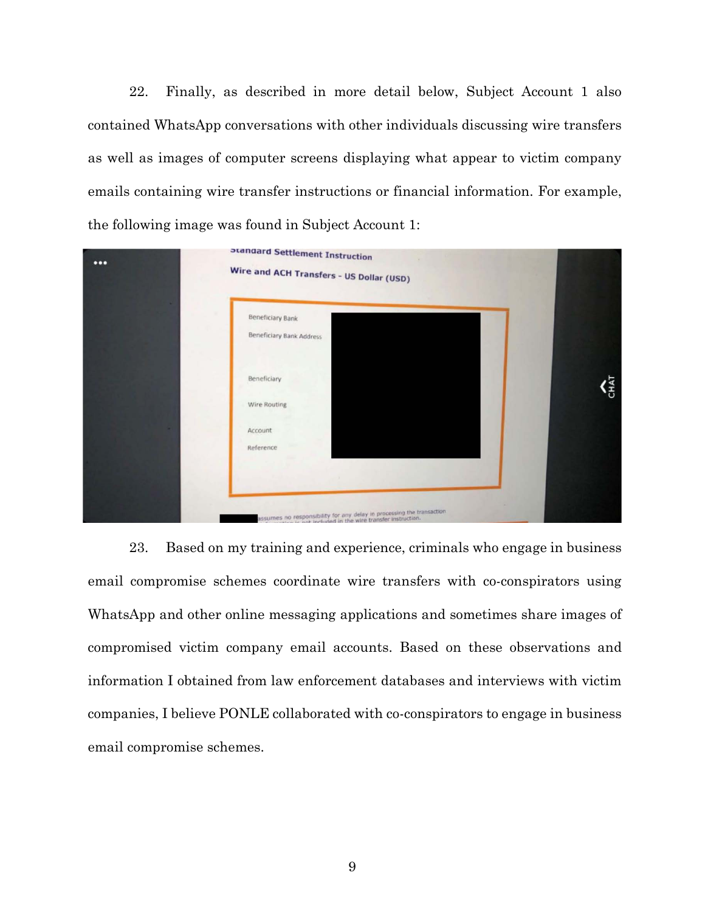22. Finally, as described in more detail below, Subject Account 1 also contained WhatsApp conversations with other individuals discussing wire transfers as well as images of computer screens displaying what appear to victim company emails containing wire transfer instructions or financial information. For example, the following image was found in Subject Account 1:



23. Based on my training and experience, criminals who engage in business email compromise schemes coordinate wire transfers with co-conspirators using WhatsApp and other online messaging applications and sometimes share images of compromised victim company email accounts. Based on these observations and information I obtained from law enforcement databases and interviews with victim companies, I believe PONLE collaborated with co-conspirators to engage in business email compromise schemes.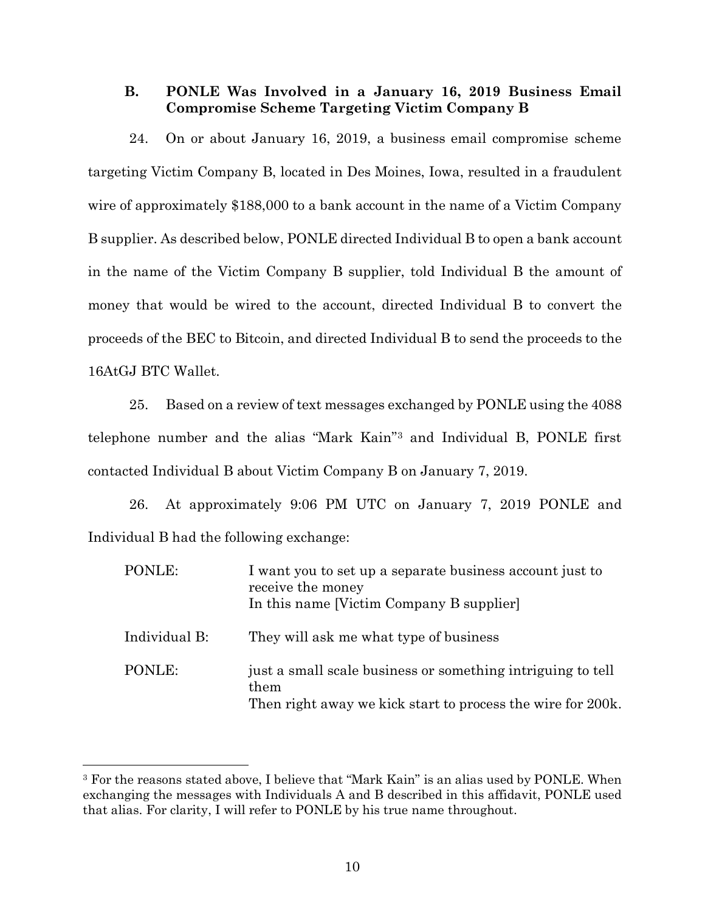## **B. PONLE Was Involved in a January 16, 2019 Business Email Compromise Scheme Targeting Victim Company B**

24. On or about January 16, 2019, a business email compromise scheme targeting Victim Company B, located in Des Moines, Iowa, resulted in a fraudulent wire of approximately \$188,000 to a bank account in the name of a Victim Company B supplier. As described below, PONLE directed Individual B to open a bank account in the name of the Victim Company B supplier, told Individual B the amount of money that would be wired to the account, directed Individual B to convert the proceeds of the BEC to Bitcoin, and directed Individual B to send the proceeds to the 16AtGJ BTC Wallet.

25. Based on a review of text messages exchanged by PONLE using the 4088 telephone number and the alias "Mark Kain"[3](#page-10-0) and Individual B, PONLE first contacted Individual B about Victim Company B on January 7, 2019.

26. At approximately 9:06 PM UTC on January 7, 2019 PONLE and Individual B had the following exchange:

| PONLE:        | I want you to set up a separate business account just to<br>receive the money<br>In this name [Victim Company B supplier]          |
|---------------|------------------------------------------------------------------------------------------------------------------------------------|
| Individual B: | They will ask me what type of business                                                                                             |
| PONLE:        | just a small scale business or something intriguing to tell<br>them<br>Then right away we kick start to process the wire for 200k. |

<span id="page-10-0"></span><sup>&</sup>lt;sup>3</sup> For the reasons stated above, I believe that "Mark Kain" is an alias used by PONLE. When exchanging the messages with Individuals A and B described in this affidavit, PONLE used that alias. For clarity, I will refer to PONLE by his true name throughout.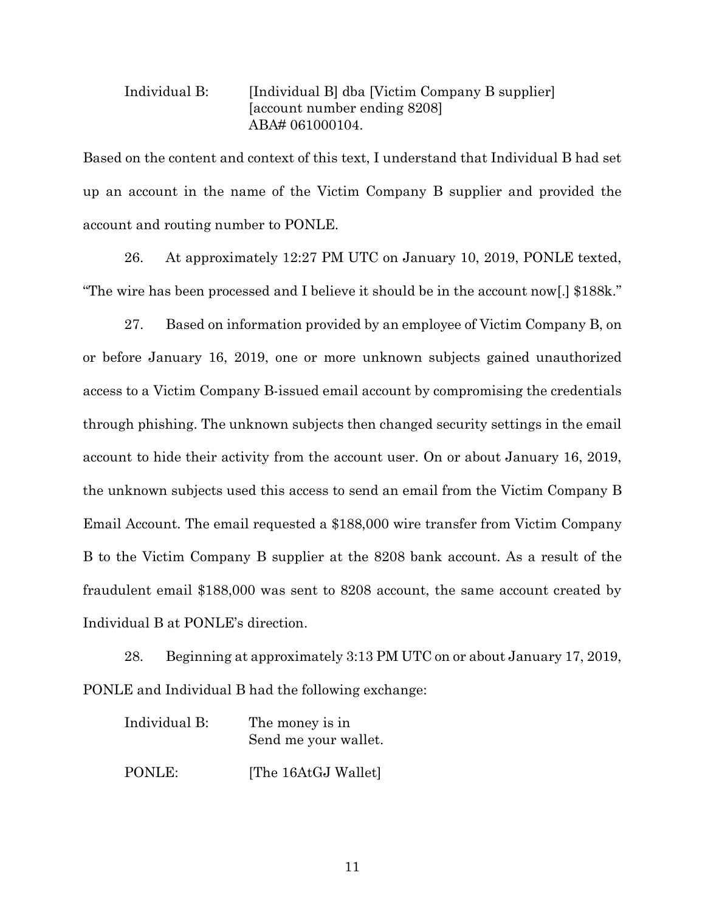Individual B: [Individual B] dba [Victim Company B supplier] [account number ending 8208] ABA# 061000104.

Based on the content and context of this text, I understand that Individual B had set up an account in the name of the Victim Company B supplier and provided the account and routing number to PONLE.

26. At approximately 12:27 PM UTC on January 10, 2019, PONLE texted, "The wire has been processed and I believe it should be in the account now[.] \$188k."

27. Based on information provided by an employee of Victim Company B, on or before January 16, 2019, one or more unknown subjects gained unauthorized access to a Victim Company B-issued email account by compromising the credentials through phishing. The unknown subjects then changed security settings in the email account to hide their activity from the account user. On or about January 16, 2019, the unknown subjects used this access to send an email from the Victim Company B Email Account. The email requested a \$188,000 wire transfer from Victim Company B to the Victim Company B supplier at the 8208 bank account. As a result of the fraudulent email \$188,000 was sent to 8208 account, the same account created by Individual B at PONLE's direction.

28. Beginning at approximately 3:13 PM UTC on or about January 17, 2019, PONLE and Individual B had the following exchange:

| Individual B: | The money is in<br>Send me your wallet. |
|---------------|-----------------------------------------|
| PONLE:        | [The 16AtGJ Wallet]                     |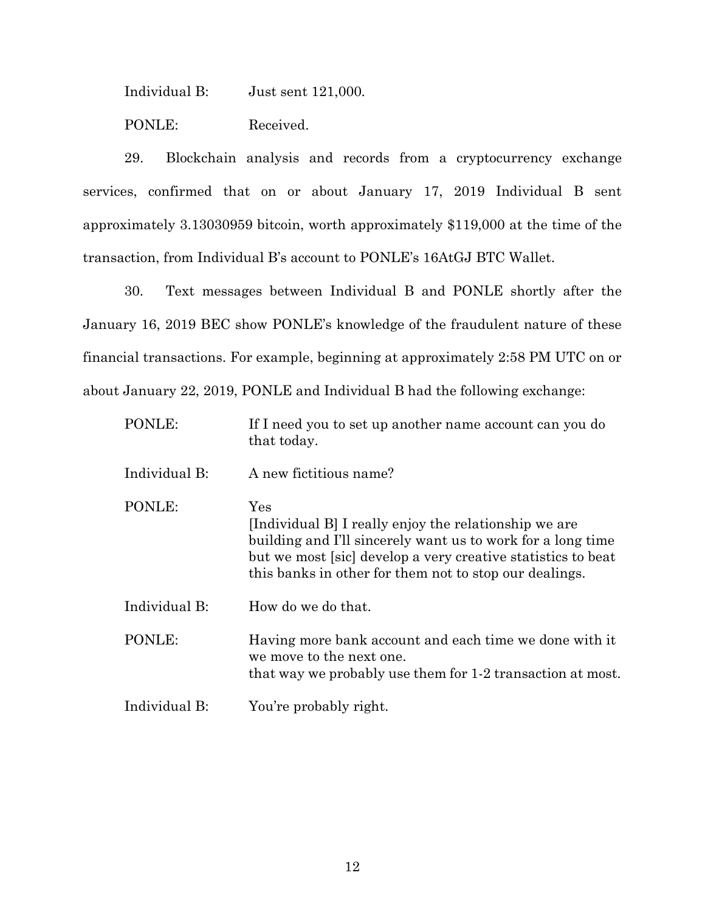Individual B: Just sent 121,000.

PONLE: Received.

29. Blockchain analysis and records from a cryptocurrency exchange services, confirmed that on or about January 17, 2019 Individual B sent approximately 3.13030959 bitcoin, worth approximately \$119,000 at the time of the transaction, from Individual B's account to PONLE's 16AtGJ BTC Wallet.

30. Text messages between Individual B and PONLE shortly after the January 16, 2019 BEC show PONLE's knowledge of the fraudulent nature of these financial transactions. For example, beginning at approximately 2:58 PM UTC on or about January 22, 2019, PONLE and Individual B had the following exchange:

| PONLE:        | If I need you to set up another name account can you do<br>that today.                                                                                                                                                                                |
|---------------|-------------------------------------------------------------------------------------------------------------------------------------------------------------------------------------------------------------------------------------------------------|
| Individual B: | A new fictitious name?                                                                                                                                                                                                                                |
| PONLE:        | Yes<br>[Individual B] I really enjoy the relationship we are<br>building and I'll sincerely want us to work for a long time<br>but we most [sic] develop a very creative statistics to beat<br>this banks in other for them not to stop our dealings. |
| Individual B: | How do we do that.                                                                                                                                                                                                                                    |
| PONLE:        | Having more bank account and each time we done with it<br>we move to the next one.<br>that way we probably use them for 1-2 transaction at most.                                                                                                      |
| Individual B: | You're probably right.                                                                                                                                                                                                                                |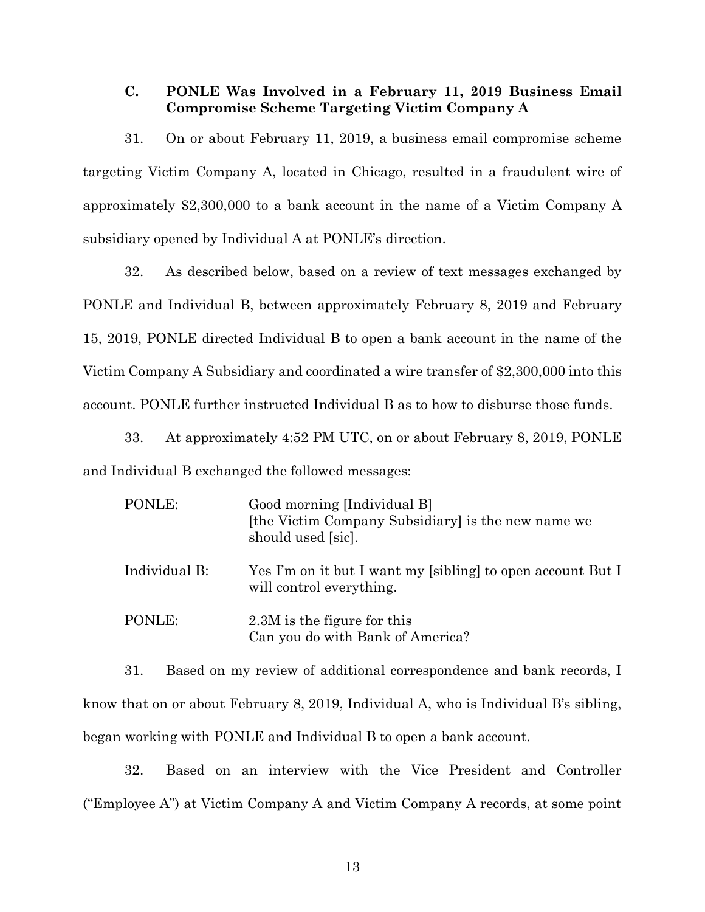#### **C. PONLE Was Involved in a February 11, 2019 Business Email Compromise Scheme Targeting Victim Company A**

31. On or about February 11, 2019, a business email compromise scheme targeting Victim Company A, located in Chicago, resulted in a fraudulent wire of approximately \$2,300,000 to a bank account in the name of a Victim Company A subsidiary opened by Individual A at PONLE's direction.

32. As described below, based on a review of text messages exchanged by PONLE and Individual B, between approximately February 8, 2019 and February 15, 2019, PONLE directed Individual B to open a bank account in the name of the Victim Company A Subsidiary and coordinated a wire transfer of \$2,300,000 into this account. PONLE further instructed Individual B as to how to disburse those funds.

33. At approximately 4:52 PM UTC, on or about February 8, 2019, PONLE and Individual B exchanged the followed messages:

| PONLE:        | Good morning [Individual B]<br>[the Victim Company Subsidiary] is the new name we<br>should used [sic]. |
|---------------|---------------------------------------------------------------------------------------------------------|
| Individual B: | Yes I'm on it but I want my [sibling] to open account But I<br>will control everything.                 |
| PONLE:        | 2.3M is the figure for this<br>Can you do with Bank of America?                                         |

31. Based on my review of additional correspondence and bank records, I know that on or about February 8, 2019, Individual A, who is Individual B's sibling, began working with PONLE and Individual B to open a bank account.

32. Based on an interview with the Vice President and Controller ("Employee A") at Victim Company A and Victim Company A records, at some point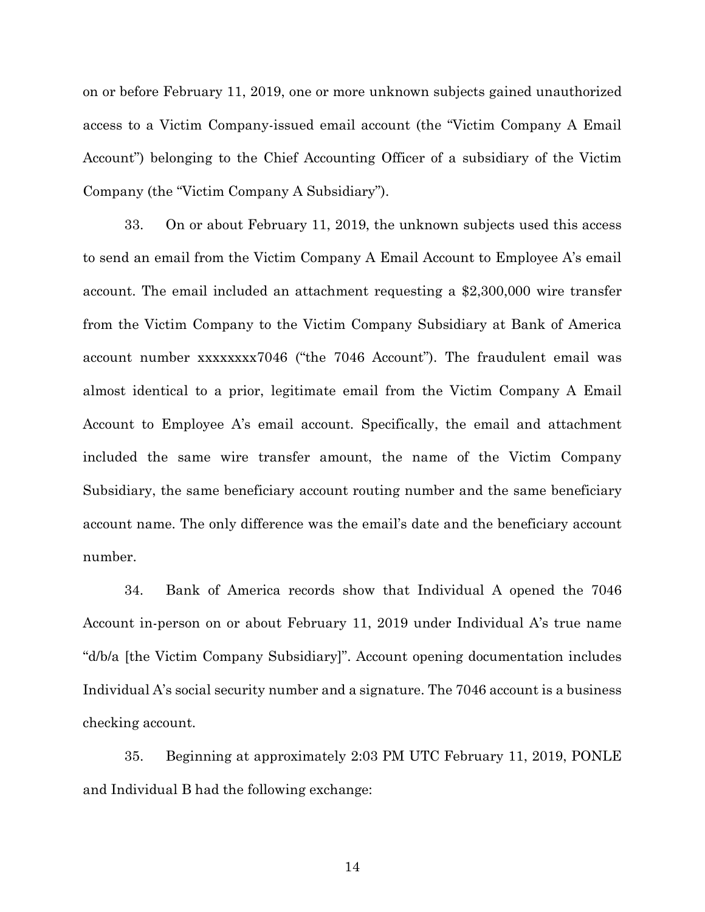on or before February 11, 2019, one or more unknown subjects gained unauthorized access to a Victim Company-issued email account (the "Victim Company A Email Account") belonging to the Chief Accounting Officer of a subsidiary of the Victim Company (the "Victim Company A Subsidiary").

33. On or about February 11, 2019, the unknown subjects used this access to send an email from the Victim Company A Email Account to Employee A's email account. The email included an attachment requesting a \$2,300,000 wire transfer from the Victim Company to the Victim Company Subsidiary at Bank of America account number xxxxxxxx7046 ("the 7046 Account"). The fraudulent email was almost identical to a prior, legitimate email from the Victim Company A Email Account to Employee A's email account. Specifically, the email and attachment included the same wire transfer amount, the name of the Victim Company Subsidiary, the same beneficiary account routing number and the same beneficiary account name. The only difference was the email's date and the beneficiary account number.

34. Bank of America records show that Individual A opened the 7046 Account in-person on or about February 11, 2019 under Individual A's true name "d/b/a [the Victim Company Subsidiary]". Account opening documentation includes Individual A's social security number and a signature. The 7046 account is a business checking account.

35. Beginning at approximately 2:03 PM UTC February 11, 2019, PONLE and Individual B had the following exchange: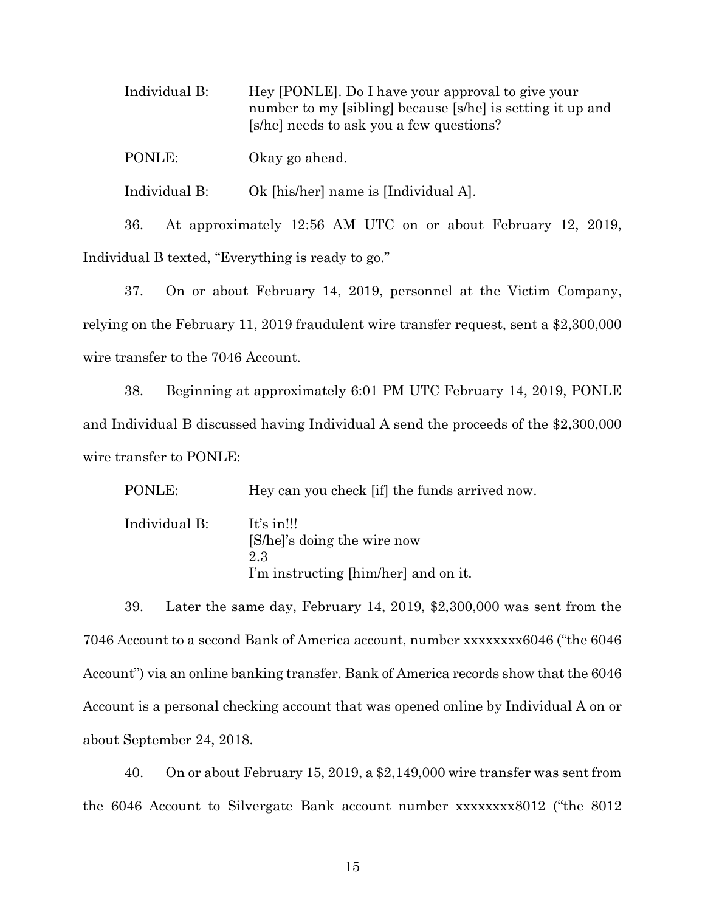| Individual B: | Hey [PONLE]. Do I have your approval to give your<br>number to my [sibling] because [s/he] is setting it up and<br>[s/he] needs to ask you a few questions? |
|---------------|-------------------------------------------------------------------------------------------------------------------------------------------------------------|
| PONLE:        | Okay go ahead.                                                                                                                                              |
| Individual B: | Ok [his/her] name is [Individual A].                                                                                                                        |

36. At approximately 12:56 AM UTC on or about February 12, 2019,

Individual B texted, "Everything is ready to go."

37. On or about February 14, 2019, personnel at the Victim Company, relying on the February 11, 2019 fraudulent wire transfer request, sent a \$2,300,000 wire transfer to the 7046 Account.

38. Beginning at approximately 6:01 PM UTC February 14, 2019, PONLE and Individual B discussed having Individual A send the proceeds of the \$2,300,000 wire transfer to PONLE:

PONLE: Hey can you check [if] the funds arrived now. Individual B: It's in!!! [S/he]'s doing the wire now 2.3 I'm instructing [him/her] and on it.

39. Later the same day, February 14, 2019, \$2,300,000 was sent from the 7046 Account to a second Bank of America account, number xxxxxxxx6046 ("the 6046 Account") via an online banking transfer. Bank of America records show that the 6046 Account is a personal checking account that was opened online by Individual A on or about September 24, 2018.

40. On or about February 15, 2019, a \$2,149,000 wire transfer was sent from the 6046 Account to Silvergate Bank account number xxxxxxxx8012 ("the 8012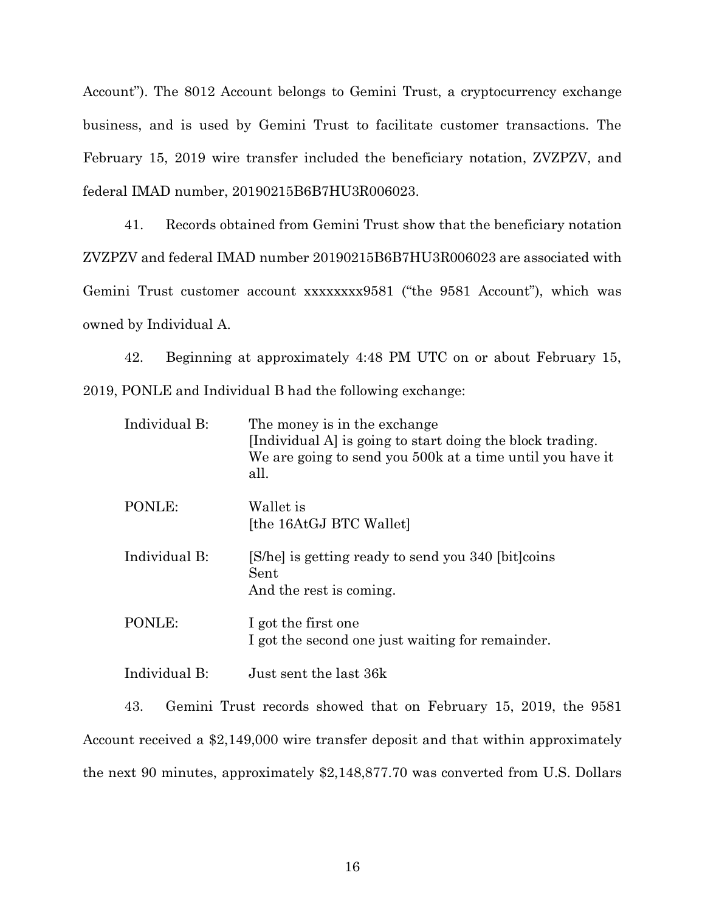Account"). The 8012 Account belongs to Gemini Trust, a cryptocurrency exchange business, and is used by Gemini Trust to facilitate customer transactions. The February 15, 2019 wire transfer included the beneficiary notation, ZVZPZV, and federal IMAD number, 20190215B6B7HU3R006023.

41. Records obtained from Gemini Trust show that the beneficiary notation ZVZPZV and federal IMAD number 20190215B6B7HU3R006023 are associated with Gemini Trust customer account xxxxxxxx9581 ("the 9581 Account"), which was owned by Individual A.

42. Beginning at approximately 4:48 PM UTC on or about February 15, 2019, PONLE and Individual B had the following exchange:

| Individual B: | The money is in the exchange<br>[Individual A] is going to start doing the block trading.<br>We are going to send you 500k at a time until you have it<br>all. |
|---------------|----------------------------------------------------------------------------------------------------------------------------------------------------------------|
| PONLE:        | Wallet is<br>[the 16AtGJ BTC Wallet]                                                                                                                           |
| Individual B: | [S/he] is getting ready to send you 340 [bit] coins<br>Sent<br>And the rest is coming.                                                                         |
| PONLE:        | I got the first one<br>I got the second one just waiting for remainder.                                                                                        |
| Individual B: | Just sent the last 36k                                                                                                                                         |

43. Gemini Trust records showed that on February 15, 2019, the 9581 Account received a \$2,149,000 wire transfer deposit and that within approximately the next 90 minutes, approximately \$2,148,877.70 was converted from U.S. Dollars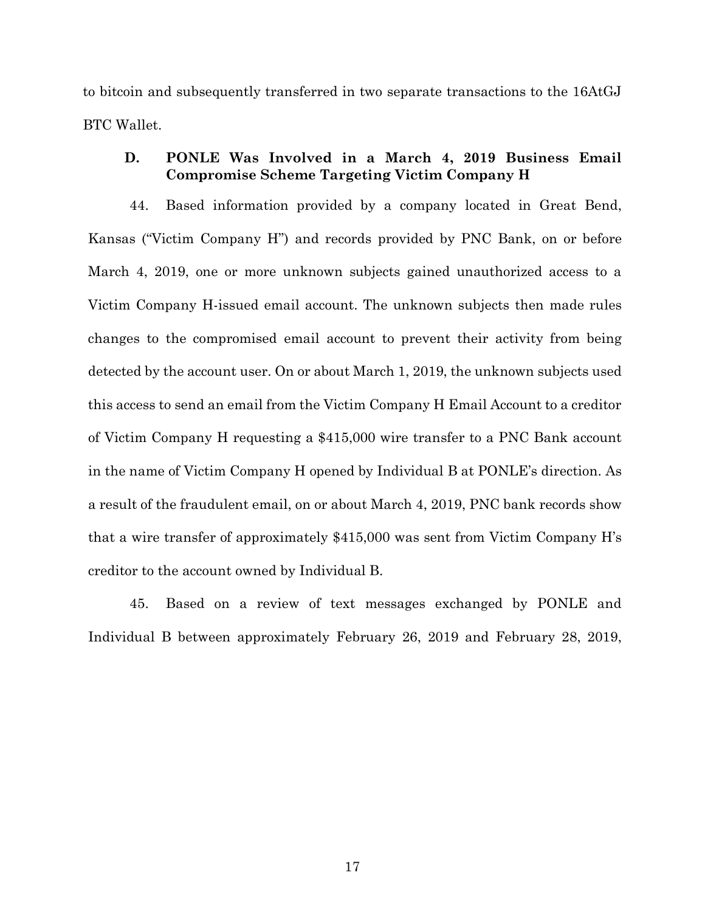to bitcoin and subsequently transferred in two separate transactions to the 16AtGJ BTC Wallet.

## **D. PONLE Was Involved in a March 4, 2019 Business Email Compromise Scheme Targeting Victim Company H**

44. Based information provided by a company located in Great Bend, Kansas ("Victim Company H") and records provided by PNC Bank, on or before March 4, 2019, one or more unknown subjects gained unauthorized access to a Victim Company H-issued email account. The unknown subjects then made rules changes to the compromised email account to prevent their activity from being detected by the account user. On or about March 1, 2019, the unknown subjects used this access to send an email from the Victim Company H Email Account to a creditor of Victim Company H requesting a \$415,000 wire transfer to a PNC Bank account in the name of Victim Company H opened by Individual B at PONLE's direction. As a result of the fraudulent email, on or about March 4, 2019, PNC bank records show that a wire transfer of approximately \$415,000 was sent from Victim Company H's creditor to the account owned by Individual B.

45. Based on a review of text messages exchanged by PONLE and Individual B between approximately February 26, 2019 and February 28, 2019,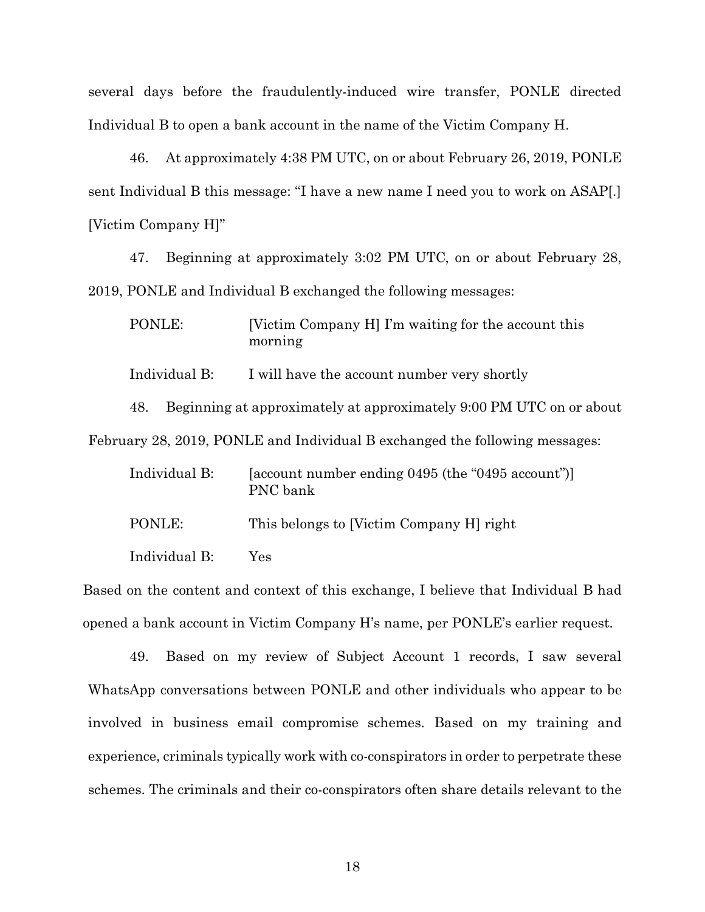several days before the fraudulently-induced wire transfer, PONLE directed Individual B to open a bank account in the name of the Victim Company H.

46. At approximately 4:38 PM UTC, on or about February 26, 2019, PONLE sent Individual B this message: "I have a new name I need you to work on ASAP[.] [Victim Company H]"

47. Beginning at approximately 3:02 PM UTC, on or about February 28, 2019, PONLE and Individual B exchanged the following messages:

|                                                                             | PONLE:        | [Victim Company H] I'm waiting for the account this<br>morning      |  |
|-----------------------------------------------------------------------------|---------------|---------------------------------------------------------------------|--|
|                                                                             | Individual B: | I will have the account number very shortly                         |  |
|                                                                             | 48.           | Beginning at approximately at approximately 9:00 PM UTC on or about |  |
| February 28, 2019, PONLE and Individual B exchanged the following messages: |               |                                                                     |  |
|                                                                             | Individual B: | [account number ending 0495 (the "0495 account")]<br>PNC bank       |  |
|                                                                             | PONLE:        | This belongs to [Victim Company H] right                            |  |
|                                                                             |               |                                                                     |  |

Individual B: Yes

Based on the content and context of this exchange, I believe that Individual B had opened a bank account in Victim Company H's name, per PONLE's earlier request.

49. Based on my review of Subject Account 1 records, I saw several WhatsApp conversations between PONLE and other individuals who appear to be involved in business email compromise schemes. Based on my training and experience, criminals typically work with co-conspirators in order to perpetrate these schemes. The criminals and their co-conspirators often share details relevant to the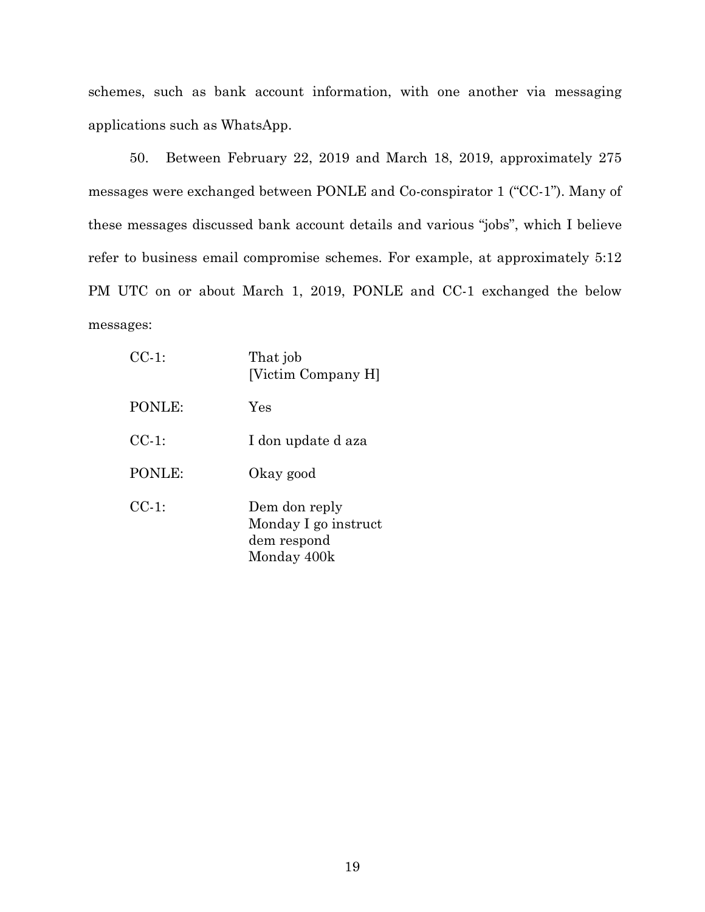schemes, such as bank account information, with one another via messaging applications such as WhatsApp.

50. Between February 22, 2019 and March 18, 2019, approximately 275 messages were exchanged between PONLE and Co-conspirator 1 ("CC-1"). Many of these messages discussed bank account details and various "jobs", which I believe refer to business email compromise schemes. For example, at approximately 5:12 PM UTC on or about March 1, 2019, PONLE and CC-1 exchanged the below messages:

| $CC-1$ : | That job<br>[Victim Company H]                                      |
|----------|---------------------------------------------------------------------|
| PONLE:   | Yes                                                                 |
| $CC-1$ : | I don update d aza                                                  |
| PONLE:   | Okay good                                                           |
| $CC-1$ : | Dem don reply<br>Monday I go instruct<br>dem respond<br>Monday 400k |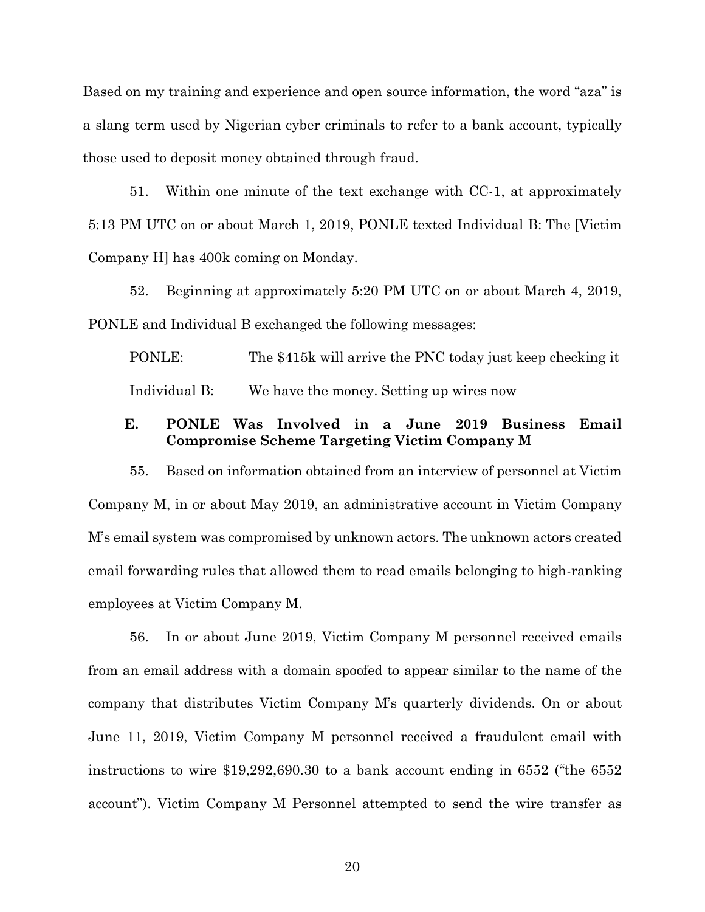Based on my training and experience and open source information, the word "aza" is a slang term used by Nigerian cyber criminals to refer to a bank account, typically those used to deposit money obtained through fraud.

51. Within one minute of the text exchange with CC-1, at approximately 5:13 PM UTC on or about March 1, 2019, PONLE texted Individual B: The [Victim Company H] has 400k coming on Monday.

52. Beginning at approximately 5:20 PM UTC on or about March 4, 2019, PONLE and Individual B exchanged the following messages:

PONLE: The \$415k will arrive the PNC today just keep checking it Individual B: We have the money. Setting up wires now

## **E. PONLE Was Involved in a June 2019 Business Email Compromise Scheme Targeting Victim Company M**

55. Based on information obtained from an interview of personnel at Victim Company M, in or about May 2019, an administrative account in Victim Company M's email system was compromised by unknown actors. The unknown actors created email forwarding rules that allowed them to read emails belonging to high-ranking employees at Victim Company M.

56. In or about June 2019, Victim Company M personnel received emails from an email address with a domain spoofed to appear similar to the name of the company that distributes Victim Company M's quarterly dividends. On or about June 11, 2019, Victim Company M personnel received a fraudulent email with instructions to wire \$19,292,690.30 to a bank account ending in 6552 ("the 6552 account"). Victim Company M Personnel attempted to send the wire transfer as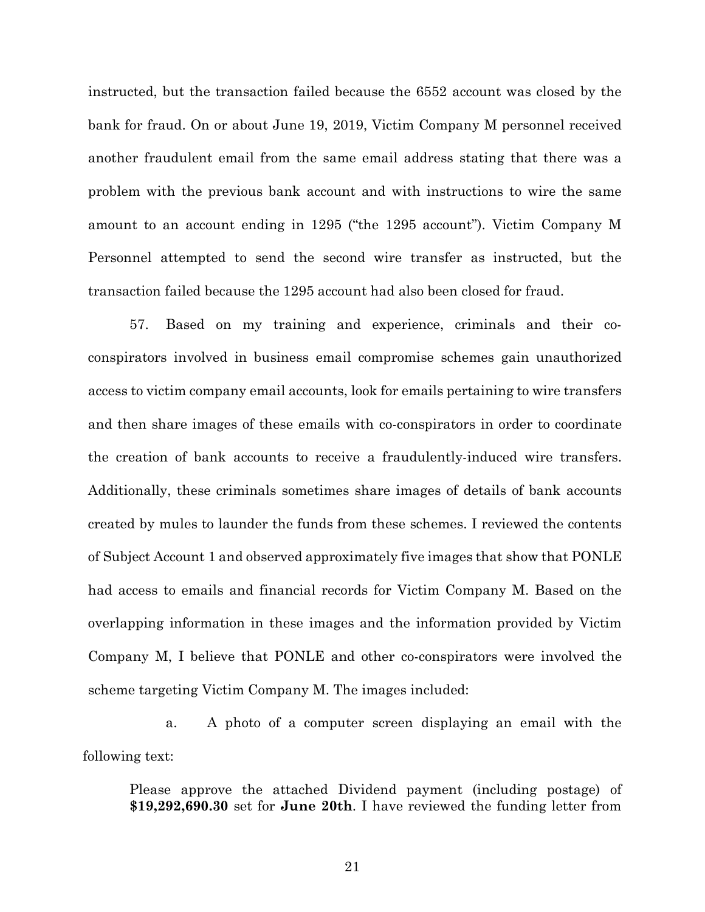instructed, but the transaction failed because the 6552 account was closed by the bank for fraud. On or about June 19, 2019, Victim Company M personnel received another fraudulent email from the same email address stating that there was a problem with the previous bank account and with instructions to wire the same amount to an account ending in 1295 ("the 1295 account"). Victim Company M Personnel attempted to send the second wire transfer as instructed, but the transaction failed because the 1295 account had also been closed for fraud.

57. Based on my training and experience, criminals and their coconspirators involved in business email compromise schemes gain unauthorized access to victim company email accounts, look for emails pertaining to wire transfers and then share images of these emails with co-conspirators in order to coordinate the creation of bank accounts to receive a fraudulently-induced wire transfers. Additionally, these criminals sometimes share images of details of bank accounts created by mules to launder the funds from these schemes. I reviewed the contents of Subject Account 1 and observed approximately five images that show that PONLE had access to emails and financial records for Victim Company M. Based on the overlapping information in these images and the information provided by Victim Company M, I believe that PONLE and other co-conspirators were involved the scheme targeting Victim Company M. The images included:

a. A photo of a computer screen displaying an email with the following text:

Please approve the attached Dividend payment (including postage) of **\$19,292,690.30** set for **June 20th**. I have reviewed the funding letter from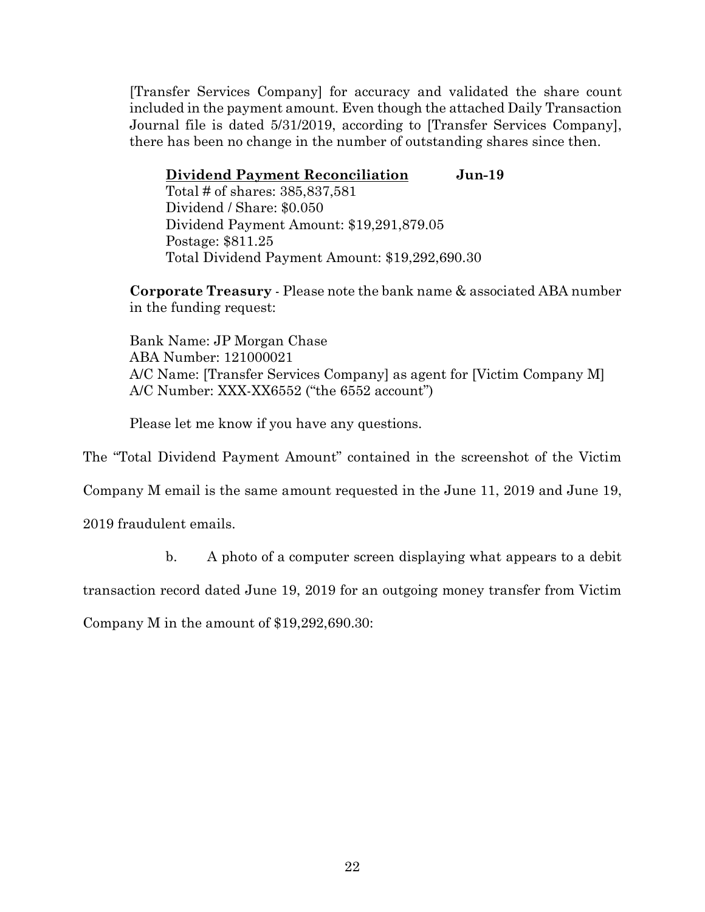[Transfer Services Company] for accuracy and validated the share count included in the payment amount. Even though the attached Daily Transaction Journal file is dated 5/31/2019, according to [Transfer Services Company], there has been no change in the number of outstanding shares since then.

## **Dividend Payment Reconciliation Jun-19**

Total # of shares: 385,837,581 Dividend / Share: \$0.050 Dividend Payment Amount: \$19,291,879.05 Postage: \$811.25 Total Dividend Payment Amount: \$19,292,690.30

**Corporate Treasury** - Please note the bank name & associated ABA number in the funding request:

Bank Name: JP Morgan Chase ABA Number: 121000021 A/C Name: [Transfer Services Company] as agent for [Victim Company M] A/C Number: XXX-XX6552 ("the 6552 account")

Please let me know if you have any questions.

The "Total Dividend Payment Amount" contained in the screenshot of the Victim

Company M email is the same amount requested in the June 11, 2019 and June 19,

2019 fraudulent emails.

b. A photo of a computer screen displaying what appears to a debit

transaction record dated June 19, 2019 for an outgoing money transfer from Victim

Company M in the amount of \$19,292,690.30: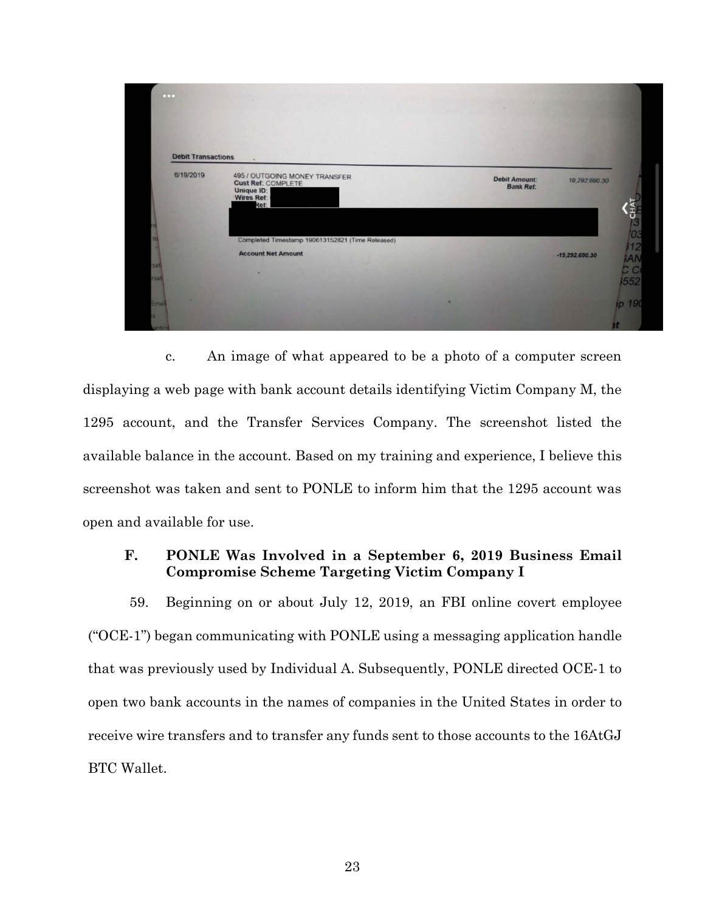

c. An image of what appeared to be a photo of a computer screen displaying a web page with bank account details identifying Victim Company M, the 1295 account, and the Transfer Services Company. The screenshot listed the available balance in the account. Based on my training and experience, I believe this screenshot was taken and sent to PONLE to inform him that the 1295 account was open and available for use.

# **F. PONLE Was Involved in a September 6, 2019 Business Email Compromise Scheme Targeting Victim Company I**

59. Beginning on or about July 12, 2019, an FBI online covert employee ("OCE-1") began communicating with PONLE using a messaging application handle that was previously used by Individual A. Subsequently, PONLE directed OCE-1 to open two bank accounts in the names of companies in the United States in order to receive wire transfers and to transfer any funds sent to those accounts to the 16AtGJ BTC Wallet.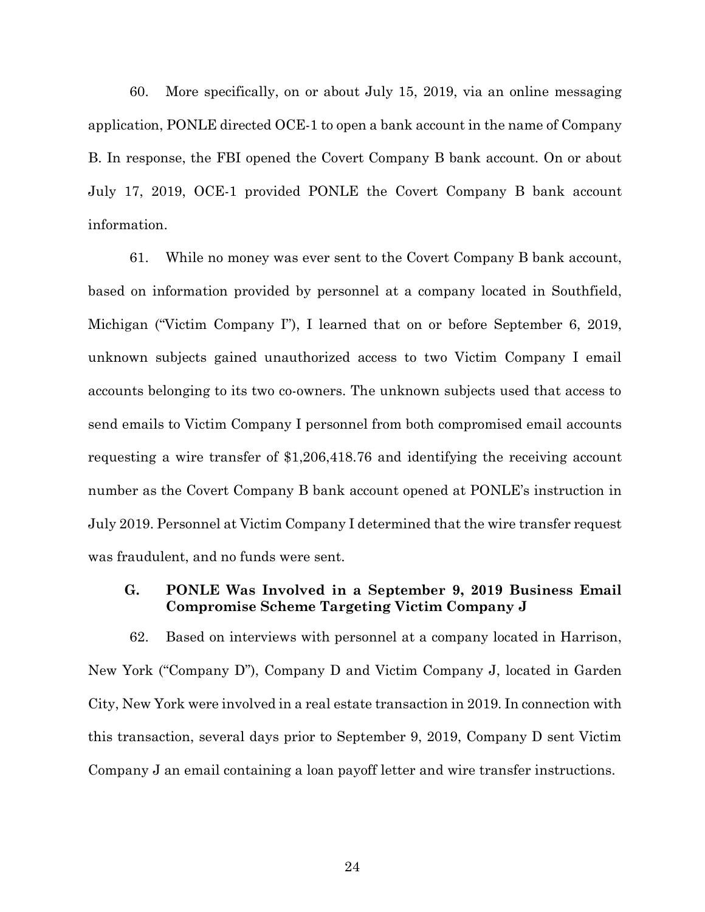60. More specifically, on or about July 15, 2019, via an online messaging application, PONLE directed OCE-1 to open a bank account in the name of Company B. In response, the FBI opened the Covert Company B bank account. On or about July 17, 2019, OCE-1 provided PONLE the Covert Company B bank account information.

61. While no money was ever sent to the Covert Company B bank account, based on information provided by personnel at a company located in Southfield, Michigan ("Victim Company I"), I learned that on or before September 6, 2019, unknown subjects gained unauthorized access to two Victim Company I email accounts belonging to its two co-owners. The unknown subjects used that access to send emails to Victim Company I personnel from both compromised email accounts requesting a wire transfer of \$1,206,418.76 and identifying the receiving account number as the Covert Company B bank account opened at PONLE's instruction in July 2019. Personnel at Victim Company I determined that the wire transfer request was fraudulent, and no funds were sent.

## **G. PONLE Was Involved in a September 9, 2019 Business Email Compromise Scheme Targeting Victim Company J**

62. Based on interviews with personnel at a company located in Harrison, New York ("Company D"), Company D and Victim Company J, located in Garden City, New York were involved in a real estate transaction in 2019. In connection with this transaction, several days prior to September 9, 2019, Company D sent Victim Company J an email containing a loan payoff letter and wire transfer instructions.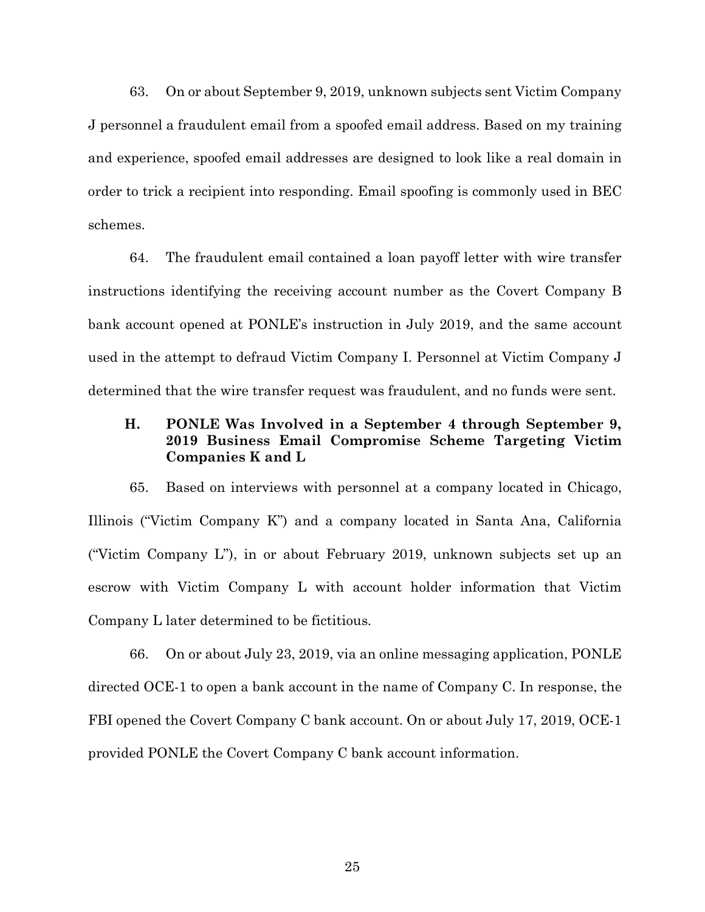63. On or about September 9, 2019, unknown subjects sent Victim Company J personnel a fraudulent email from a spoofed email address. Based on my training and experience, spoofed email addresses are designed to look like a real domain in order to trick a recipient into responding. Email spoofing is commonly used in BEC schemes.

64. The fraudulent email contained a loan payoff letter with wire transfer instructions identifying the receiving account number as the Covert Company B bank account opened at PONLE's instruction in July 2019, and the same account used in the attempt to defraud Victim Company I. Personnel at Victim Company J determined that the wire transfer request was fraudulent, and no funds were sent.

## **H. PONLE Was Involved in a September 4 through September 9, 2019 Business Email Compromise Scheme Targeting Victim Companies K and L**

65. Based on interviews with personnel at a company located in Chicago, Illinois ("Victim Company K") and a company located in Santa Ana, California ("Victim Company L"), in or about February 2019, unknown subjects set up an escrow with Victim Company L with account holder information that Victim Company L later determined to be fictitious.

66. On or about July 23, 2019, via an online messaging application, PONLE directed OCE-1 to open a bank account in the name of Company C. In response, the FBI opened the Covert Company C bank account. On or about July 17, 2019, OCE-1 provided PONLE the Covert Company C bank account information.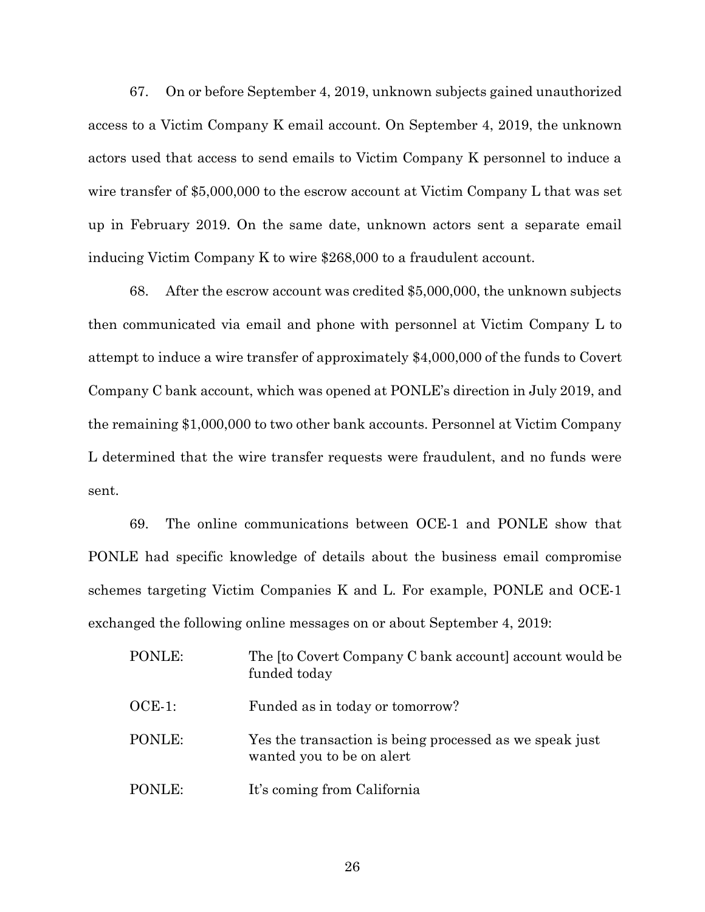67. On or before September 4, 2019, unknown subjects gained unauthorized access to a Victim Company K email account. On September 4, 2019, the unknown actors used that access to send emails to Victim Company K personnel to induce a wire transfer of \$5,000,000 to the escrow account at Victim Company L that was set up in February 2019. On the same date, unknown actors sent a separate email inducing Victim Company K to wire \$268,000 to a fraudulent account.

68. After the escrow account was credited \$5,000,000, the unknown subjects then communicated via email and phone with personnel at Victim Company L to attempt to induce a wire transfer of approximately \$4,000,000 of the funds to Covert Company C bank account, which was opened at PONLE's direction in July 2019, and the remaining \$1,000,000 to two other bank accounts. Personnel at Victim Company L determined that the wire transfer requests were fraudulent, and no funds were sent.

69. The online communications between OCE-1 and PONLE show that PONLE had specific knowledge of details about the business email compromise schemes targeting Victim Companies K and L. For example, PONLE and OCE-1 exchanged the following online messages on or about September 4, 2019:

| PONLE:    | The Ito Covert Company C bank account account would be<br>funded today                |
|-----------|---------------------------------------------------------------------------------------|
| $OCE-1$ : | Funded as in today or tomorrow?                                                       |
| PONLE:    | Yes the transaction is being processed as we speak just<br>wanted you to be on a lert |
| PONLE:    | It's coming from California                                                           |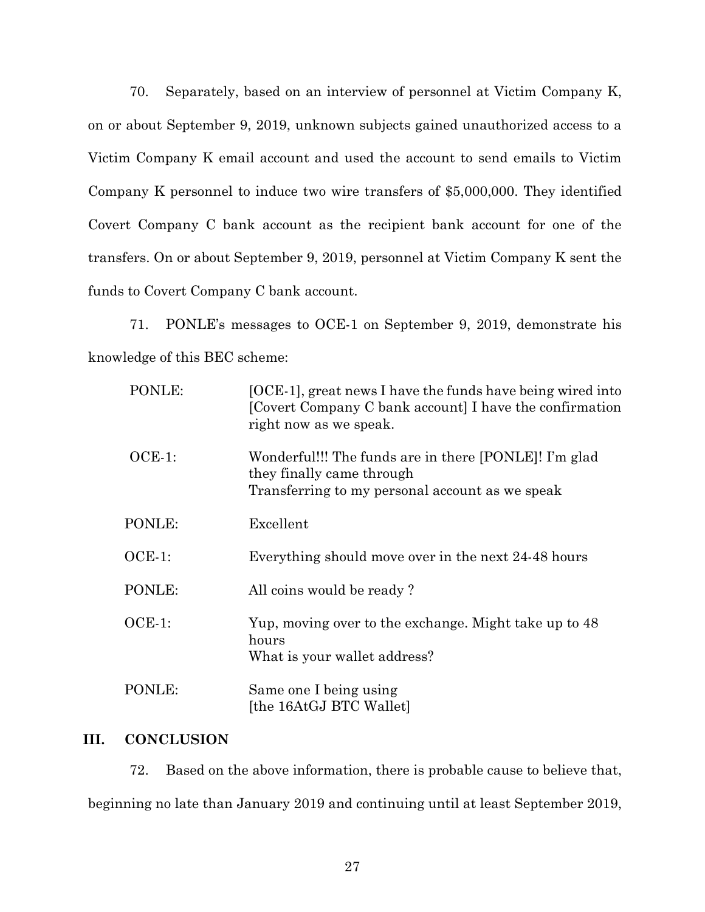70. Separately, based on an interview of personnel at Victim Company K, on or about September 9, 2019, unknown subjects gained unauthorized access to a Victim Company K email account and used the account to send emails to Victim Company K personnel to induce two wire transfers of \$5,000,000. They identified Covert Company C bank account as the recipient bank account for one of the transfers. On or about September 9, 2019, personnel at Victim Company K sent the funds to Covert Company C bank account.

71. PONLE's messages to OCE-1 on September 9, 2019, demonstrate his knowledge of this BEC scheme:

| PONLE:    | [OCE-1], great news I have the funds have being wired into<br>[Covert Company C bank account] I have the confirmation<br>right now as we speak. |
|-----------|-------------------------------------------------------------------------------------------------------------------------------------------------|
| $OCE-1$ : | Wonderful!!! The funds are in there [PONLE]! I'm glad<br>they finally came through<br>Transferring to my personal account as we speak           |
| PONLE:    | Excellent                                                                                                                                       |
| $OCE-1$ : | Everything should move over in the next 24-48 hours                                                                                             |
| PONLE:    | All coins would be ready?                                                                                                                       |
| $OCE-1$ : | Yup, moving over to the exchange. Might take up to 48<br>hours<br>What is your wallet address?                                                  |
| PONLE:    | Same one I being using<br>[the 16AtGJ BTC Wallet]                                                                                               |

#### **III. CONCLUSION**

72. Based on the above information, there is probable cause to believe that, beginning no late than January 2019 and continuing until at least September 2019,